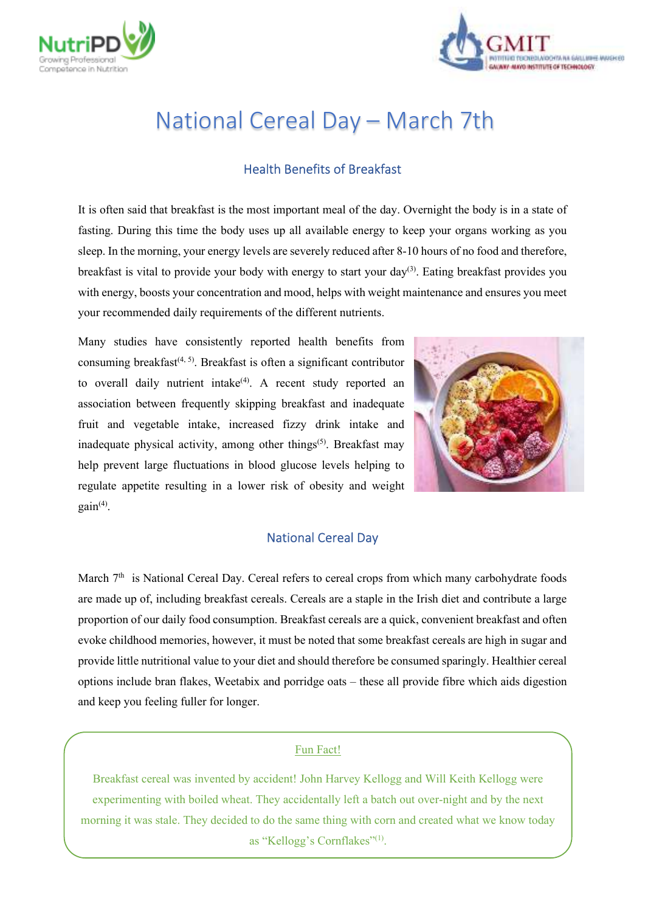



# National Cereal Day – March 7th

## Health Benefits of Breakfast

It is often said that breakfast is the most important meal of the day. Overnight the body is in a state of fasting. During this time the body uses up all available energy to keep your organs working as you sleep. In the morning, your energy levels are severely reduced after 8-10 hours of no food and therefore, breakfast is vital to provide your body with energy to start your  $day^{(3)}$ . Eating breakfast provides you with energy, boosts your concentration and mood, helps with weight maintenance and ensures you meet your recommended daily requirements of the different nutrients.

Many studies have consistently reported health benefits from consuming breakfast<sup> $(4, 5)$ </sup>. Breakfast is often a significant contributor to overall daily nutrient intake<sup>(4)</sup>. A recent study reported an association between frequently skipping breakfast and inadequate fruit and vegetable intake, increased fizzy drink intake and inadequate physical activity, among other things<sup> $(5)$ </sup>. Breakfast may help prevent large fluctuations in blood glucose levels helping to regulate appetite resulting in a lower risk of obesity and weight  $gain<sup>(4)</sup>$ .



## National Cereal Day

March 7<sup>th</sup> is National Cereal Day. Cereal refers to cereal crops from which many carbohydrate foods are made up of, including breakfast cereals. Cereals are a staple in the Irish diet and contribute a large proportion of our daily food consumption. Breakfast cereals are a quick, convenient breakfast and often evoke childhood memories, however, it must be noted that some breakfast cereals are high in sugar and provide little nutritional value to your diet and should therefore be consumed sparingly. Healthier cereal options include bran flakes, Weetabix and porridge oats – these all provide fibre which aids digestion and keep you feeling fuller for longer.

#### Fun Fact!

Breakfast cereal was invented by accident! John Harvey Kellogg and Will Keith Kellogg were experimenting with boiled wheat. They accidentally left a batch out over-night and by the next morning it was stale. They decided to do the same thing with corn and created what we know today as "Kellogg's Cornflakes" $(1)$ .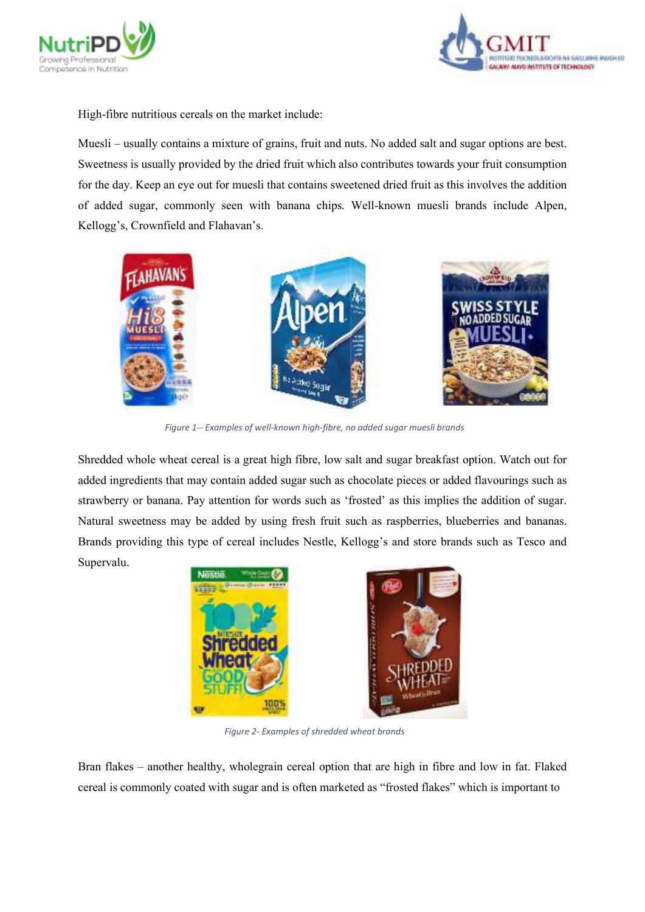



High-fibre nutritious cereals on the market include:

Muesli – usually contains a mixture of grains, fruit and nuts. No added salt and sugar options are best. Sweetness is usually provided by the dried fruit which also contributes towards your fruit consumption for the day. Keep an eye out for muesli that contains sweetened dried fruit as this involves the addition of added sugar, commonly seen with banana chips. Well-known muesli brands include Alpen, Kellogg's, Crownfield and Flahavan's.



*Figure 1-- Examples of well-known high-fibre, no added sugar muesli brands*

Shredded whole wheat cereal is a great high fibre, low salt and sugar breakfast option. Watch out for added ingredients that may contain added sugar such as chocolate pieces or added flavourings such as strawberry or banana. Pay attention for words such as 'frosted' as this implies the addition of sugar. Natural sweetness may be added by using fresh fruit such as raspberries, blueberries and bananas. Brands providing this type of cereal includes Nestle, Kellogg's and store brands such as Tesco and Supervalu.



*Figure 2- Examples of shredded wheat brands*

Bran flakes – another healthy, wholegrain cereal option that are high in fibre and low in fat. Flaked cereal is commonly coated with sugar and is often marketed as "frosted flakes" which is important to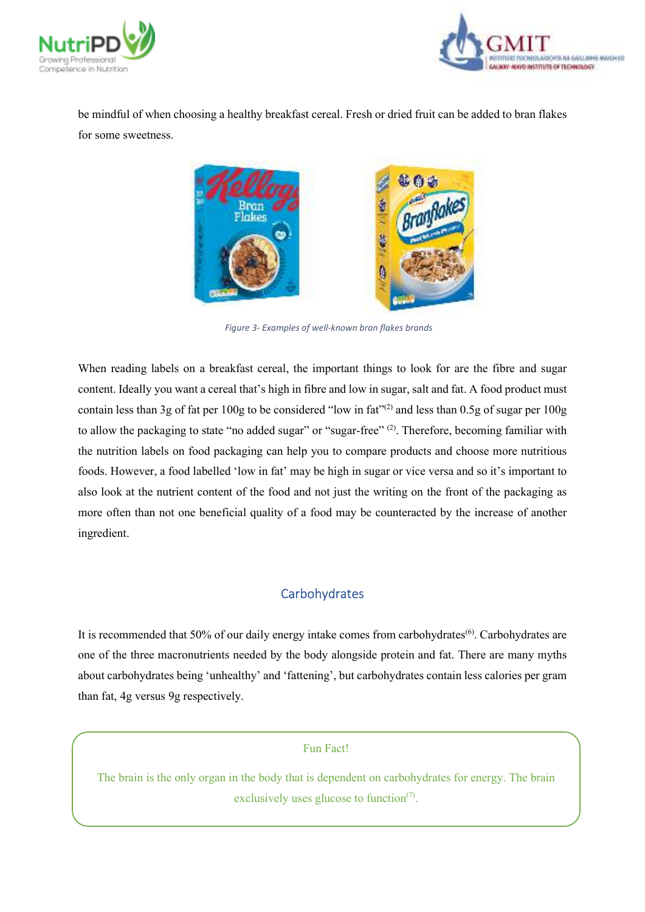



be mindful of when choosing a healthy breakfast cereal. Fresh or dried fruit can be added to bran flakes for some sweetness.



*Figure 3- Examples of well-known bran flakes brands*

When reading labels on a breakfast cereal, the important things to look for are the fibre and sugar content. Ideally you want a cereal that's high in fibre and low in sugar, salt and fat. A food product must contain less than 3g of fat per 100g to be considered "low in fat"<sup>(2)</sup> and less than 0.5g of sugar per 100g to allow the packaging to state "no added sugar" or "sugar-free" (2). Therefore, becoming familiar with the nutrition labels on food packaging can help you to compare products and choose more nutritious foods. However, a food labelled 'low in fat' may be high in sugar or vice versa and so it's important to also look at the nutrient content of the food and not just the writing on the front of the packaging as more often than not one beneficial quality of a food may be counteracted by the increase of another ingredient.

## **Carbohydrates**

It is recommended that 50% of our daily energy intake comes from carbohydrates(6). Carbohydrates are one of the three macronutrients needed by the body alongside protein and fat. There are many myths about carbohydrates being 'unhealthy' and 'fattening', but carbohydrates contain less calories per gram than fat, 4g versus 9g respectively.

#### Fun Fact!

The brain is the only organ in the body that is dependent on carbohydrates for energy. The brain exclusively uses glucose to function $(7)$ .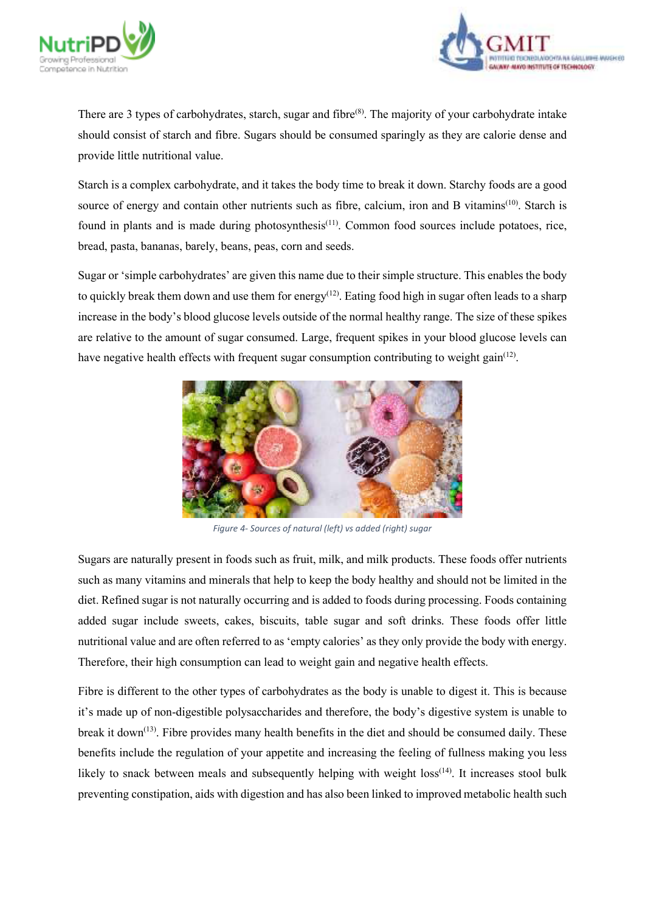



There are 3 types of carbohydrates, starch, sugar and fibre<sup>(8)</sup>. The majority of your carbohydrate intake should consist of starch and fibre. Sugars should be consumed sparingly as they are calorie dense and provide little nutritional value.

Starch is a complex carbohydrate, and it takes the body time to break it down. Starchy foods are a good source of energy and contain other nutrients such as fibre, calcium, iron and B vitamins<sup>(10)</sup>. Starch is found in plants and is made during photosynthesis<sup>(11)</sup>. Common food sources include potatoes, rice, bread, pasta, bananas, barely, beans, peas, corn and seeds.

Sugar or 'simple carbohydrates' are given this name due to their simple structure. This enables the body to quickly break them down and use them for energy<sup>(12)</sup>. Eating food high in sugar often leads to a sharp increase in the body's blood glucose levels outside of the normal healthy range. The size of these spikes are relative to the amount of sugar consumed. Large, frequent spikes in your blood glucose levels can have negative health effects with frequent sugar consumption contributing to weight gain<sup>(12)</sup>.



*Figure 4- Sources of natural (left) vs added (right) sugar*

Sugars are naturally present in foods such as fruit, milk, and milk products. These foods offer nutrients such as many vitamins and minerals that help to keep the body healthy and should not be limited in the diet. Refined sugar is not naturally occurring and is added to foods during processing. Foods containing added sugar include sweets, cakes, biscuits, table sugar and soft drinks. These foods offer little nutritional value and are often referred to as 'empty calories' as they only provide the body with energy. Therefore, their high consumption can lead to weight gain and negative health effects.

Fibre is different to the other types of carbohydrates as the body is unable to digest it. This is because it's made up of non-digestible polysaccharides and therefore, the body's digestive system is unable to break it down<sup>(13)</sup>. Fibre provides many health benefits in the diet and should be consumed daily. These benefits include the regulation of your appetite and increasing the feeling of fullness making you less likely to snack between meals and subsequently helping with weight  $loss^{(14)}$ . It increases stool bulk preventing constipation, aids with digestion and has also been linked to improved metabolic health such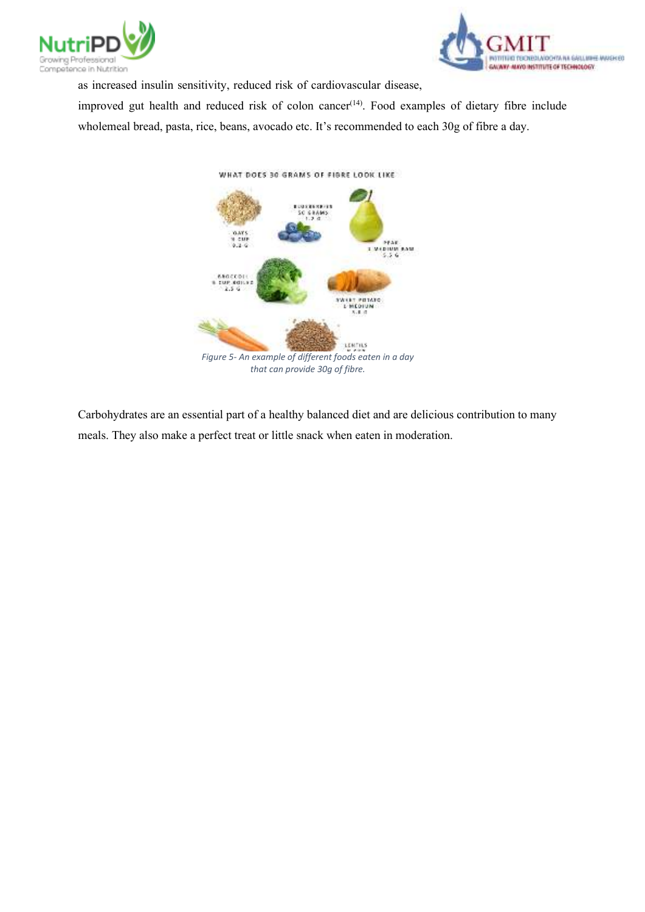



as increased insulin sensitivity, reduced risk of cardiovascular disease,

improved gut health and reduced risk of colon cancer<sup>(14)</sup>. Food examples of dietary fibre include wholemeal bread, pasta, rice, beans, avocado etc. It's recommended to each 30g of fibre a day.



Carbohydrates are an essential part of a healthy balanced diet and are delicious contribution to many meals. They also make a perfect treat or little snack when eaten in moderation.